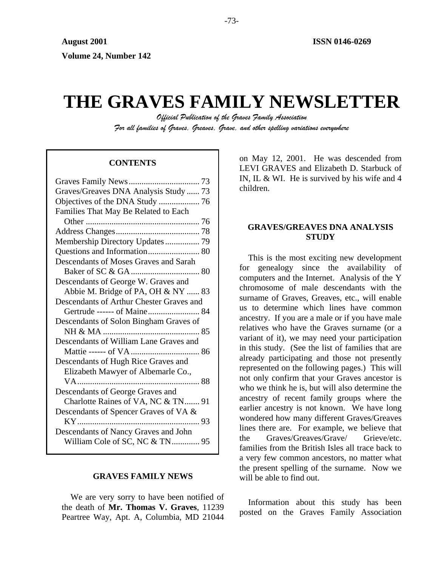# **THE GRAVES FAMILY NEWSLETTER**

*Official Publication of the Graves Family Association For all families of Graves, Greaves, Grave, and other spelling variations everywhere* 

# **CONTENTS**

| Graves/Greaves DNA Analysis Study  73    |
|------------------------------------------|
|                                          |
| Families That May Be Related to Each     |
|                                          |
|                                          |
| Membership Directory Updates 79          |
|                                          |
| Descendants of Moses Graves and Sarah    |
|                                          |
| Descendants of George W. Graves and      |
| Abbie M. Bridge of PA, OH & NY  83       |
| Descendants of Arthur Chester Graves and |
| Gertrude ------ of Maine 84              |
| Descendants of Solon Bingham Graves of   |
|                                          |
| Descendants of William Lane Graves and   |
|                                          |
| Descendants of Hugh Rice Graves and      |
| Elizabeth Mawyer of Albemarle Co.,       |
|                                          |
| Descendants of George Graves and         |
| Charlotte Raines of VA, NC & TN 91       |
| Descendants of Spencer Graves of VA &    |
|                                          |
| Descendants of Nancy Graves and John     |
| William Cole of SC, NC & TN 95           |
|                                          |

# **GRAVES FAMILY NEWS**

We are very sorry to have been notified of the death of **Mr. Thomas V. Graves**, 11239 Peartree Way, Apt. A, Columbia, MD 21044 on May 12, 2001. He was descended from LEVI GRAVES and Elizabeth D. Starbuck of IN, IL & WI. He is survived by his wife and 4 children.

# **GRAVES/GREAVES DNA ANALYSIS STUDY**

This is the most exciting new development for genealogy since the availability of computers and the Internet. Analysis of the Y chromosome of male descendants with the surname of Graves, Greaves, etc., will enable us to determine which lines have common ancestry. If you are a male or if you have male relatives who have the Graves surname (or a variant of it), we may need your participation in this study. (See the list of families that are already participating and those not presently represented on the following pages.) This will not only confirm that your Graves ancestor is who we think he is, but will also determine the ancestry of recent family groups where the earlier ancestry is not known. We have long wondered how many different Graves/Greaves lines there are. For example, we believe that the Graves/Greaves/Grave/ Grieve/etc. families from the British Isles all trace back to a very few common ancestors, no matter what the present spelling of the surname. Now we will be able to find out.

Information about this study has been posted on the Graves Family Association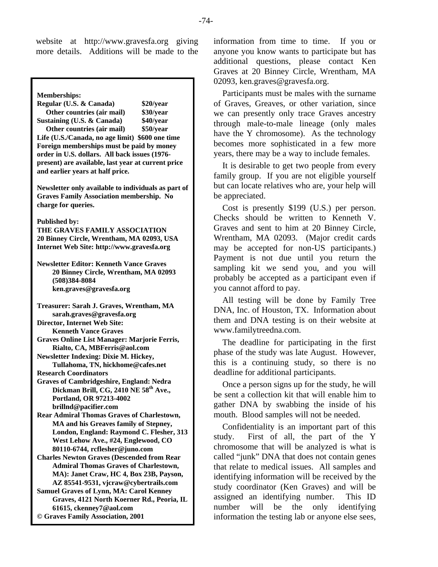website at [http://www.gravesfa.org](http://www.gravesfa.org/) giving more details. Additions will be made to the

**Memberships: Regular (U.S. & Canada) \$20/year Other countries (air mail) \$30/year Sustaining (U.S. & Canada) \$40/year Other countries (air mail) \$50/year Life (U.S./Canada, no age limit) \$600 one time Foreign memberships must be paid by money order in U.S. dollars. All back issues (1976 present) are available, last year at current price and earlier years at half price. Newsletter only available to individuals as part of Graves Family Association membership. No charge for queries. Published by: THE GRAVES FAMILY ASSOCIATION 20 Binney Circle, Wrentham, MA 02093, USA Internet Web Site: http://www.gravesfa.org Newsletter Editor: Kenneth Vance Graves 20 Binney Circle, Wrentham, MA 02093 (508)384-8084 ken.graves@gravesfa.org Treasurer: Sarah J. Graves, Wrentham, MA sarah.graves@gravesfa.org Director, Internet Web Site: Kenneth Vance Graves Graves Online List Manager: Marjorie Ferris, Rialto, CA, MBFerris@aol.com Newsletter Indexing: Dixie M. Hickey, Tullahoma, TN, hickhome@cafes.net Research Coordinators Graves of Cambridgeshire, England: Nedra Dickman Brill, CG, 2410 NE 58th Ave., Portland, OR 97213-4002 brillnd@pacifier.com Rear Admiral Thomas Graves of Charlestown, MA and his Greaves family of Stepney, London, England: Raymond C. Flesher, 313 West Lehow Ave., #24, Englewood, CO 80110-6744, rcflesher@juno.com Charles Newton Graves (Descended from Rear Admiral Thomas Graves of Charlestown,** 

**MA): Janet Craw, HC 4, Box 23B, Payson, AZ 85541-9531, vjcraw@cybertrails.com Samuel Graves of Lynn, MA: Carol Kenney Graves, 4121 North Koerner Rd., Peoria, IL 61615, ckenney7@aol.com** 

**© Graves Family Association, 2001**

information from time to time. If you or anyone you know wants to participate but has additional questions, please contact Ken Graves at 20 Binney Circle, Wrentham, MA 02093, ken.graves@gravesfa.org.

Participants must be males with the surname of Graves, Greaves, or other variation, since we can presently only trace Graves ancestry through male-to-male lineage (only males have the Y chromosome). As the technology becomes more sophisticated in a few more years, there may be a way to include females.

It is desirable to get two people from every family group. If you are not eligible yourself but can locate relatives who are, your help will be appreciated.

Cost is presently \$199 (U.S.) per person. Checks should be written to Kenneth V. Graves and sent to him at 20 Binney Circle, Wrentham, MA 02093. (Major credit cards may be accepted for non-US participants.) Payment is not due until you return the sampling kit we send you, and you will probably be accepted as a participant even if you cannot afford to pay.

All testing will be done by Family Tree DNA, Inc. of Houston, TX. Information about them and DNA testing is on their website at [www.familytreedna.com.](http://www.familytreedna.com/)

The deadline for participating in the first phase of the study was late August. However, this is a continuing study, so there is no deadline for additional participants.

Once a person signs up for the study, he will be sent a collection kit that will enable him to gather DNA by swabbing the inside of his mouth. Blood samples will not be needed.

Confidentiality is an important part of this study. First of all, the part of the Y chromosome that will be analyzed is what is called "junk" DNA that does not contain genes that relate to medical issues. All samples and identifying information will be received by the study coordinator (Ken Graves) and will be assigned an identifying number. This ID number will be the only identifying information the testing lab or anyone else sees,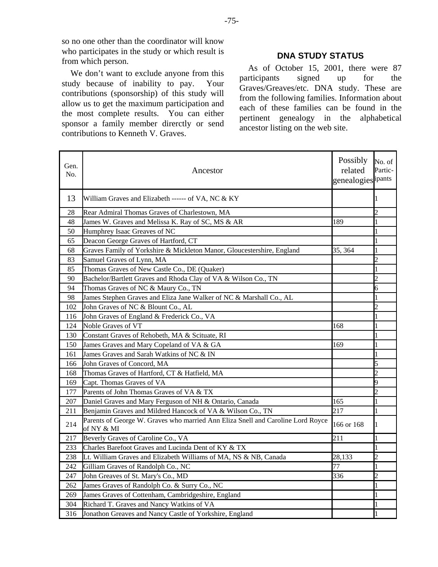so no one other than the coordinator will know who participates in the study or which result is from which person.

We don't want to exclude anyone from this study because of inability to pay. Your contributions (sponsorship) of this study will allow us to get the maximum participation and the most complete results. You can either sponsor a family member direrctly or send contributions to Kenneth V. Graves.

# **DNA STUDY STATUS**

As of October 15, 2001, there were 87 participants signed up for the Graves/Greaves/etc. DNA study. These are from the following families. Information about each of these families can be found in the pertinent genealogy in the alphabetical ancestor listing on the web site.

| Gen.<br>No. | Ancestor                                                                                      | Possibly<br>related<br>genealogies ipants | No. of<br>Partic- |
|-------------|-----------------------------------------------------------------------------------------------|-------------------------------------------|-------------------|
| 13          | William Graves and Elizabeth ------ of VA, NC & KY                                            |                                           |                   |
| 28          | Rear Admiral Thomas Graves of Charlestown, MA                                                 |                                           | $\overline{c}$    |
| 48          | James W. Graves and Melissa K. Ray of SC, MS & AR                                             | 189                                       | 1                 |
| 50          | Humphrey Isaac Greaves of NC                                                                  |                                           |                   |
| 65          | Deacon George Graves of Hartford, CT                                                          |                                           |                   |
| 68          | Graves Family of Yorkshire & Mickleton Manor, Gloucestershire, England                        | 35, 364                                   | 1                 |
| 83          | Samuel Graves of Lynn, MA                                                                     |                                           | $\overline{2}$    |
| 85          | Thomas Graves of New Castle Co., DE (Quaker)                                                  |                                           | 1                 |
| 90          | Bachelor/Bartlett Graves and Rhoda Clay of VA & Wilson Co., TN                                |                                           | $\overline{c}$    |
| 94          | Thomas Graves of NC & Maury Co., TN                                                           |                                           | 6                 |
| 98          | James Stephen Graves and Eliza Jane Walker of NC & Marshall Co., AL                           |                                           | 1                 |
| 102         | John Graves of NC & Blount Co., AL                                                            |                                           | $\overline{c}$    |
| 116         | John Graves of England & Frederick Co., VA                                                    |                                           | 1                 |
| 124         | Noble Graves of VT                                                                            | 168                                       | 1                 |
| 130         | Constant Graves of Rehobeth, MA & Scituate, RI                                                |                                           |                   |
| 150         | James Graves and Mary Copeland of VA & GA                                                     | 169                                       | 1                 |
| 161         | James Graves and Sarah Watkins of NC & IN                                                     |                                           | 1                 |
| 166         | John Graves of Concord, MA                                                                    |                                           | 5                 |
| 168         | Thomas Graves of Hartford, CT & Hatfield, MA                                                  |                                           | $\overline{c}$    |
| 169         | Capt. Thomas Graves of VA                                                                     |                                           | 9                 |
| 177         | Parents of John Thomas Graves of VA & TX                                                      |                                           | $\overline{c}$    |
| 207         | Daniel Graves and Mary Ferguson of NH & Ontario, Canada                                       | 165                                       | 1                 |
| 211         | Benjamin Graves and Mildred Hancock of VA & Wilson Co., TN                                    | 217                                       | 1                 |
| 214         | Parents of George W. Graves who married Ann Eliza Snell and Caroline Lord Royce<br>of NY & MI | 166 or 168                                | 1                 |
| 217         | Beverly Graves of Caroline Co., VA                                                            | 211                                       | 1                 |
| 233         | Charles Barefoot Graves and Lucinda Dent of KY & TX                                           |                                           |                   |
| 238         | Lt. William Graves and Elizabeth Williams of MA, NS & NB, Canada                              | 28,133                                    | $\overline{c}$    |
| 242         | Gilliam Graves of Randolph Co., NC                                                            | 77                                        | 1                 |
| 247         | John Greaves of St. Mary's Co., MD                                                            | 336                                       | $\overline{c}$    |
| 262         | James Graves of Randolph Co. & Surry Co., NC                                                  |                                           | 1                 |
| 269         | James Graves of Cottenham, Cambridgeshire, England                                            |                                           | 1                 |
| 304         | Richard T. Graves and Nancy Watkins of VA                                                     |                                           |                   |
| 316         | Jonathon Greaves and Nancy Castle of Yorkshire, England                                       |                                           | 1                 |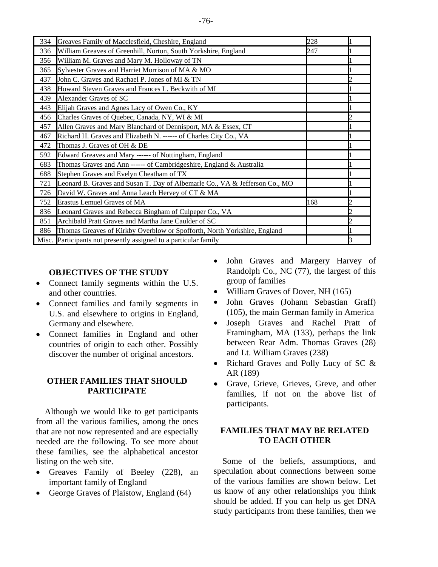| 334   | Greaves Family of Macclesfield, Cheshire, England                           | 228 |  |
|-------|-----------------------------------------------------------------------------|-----|--|
| 336   | William Greaves of Greenhill, Norton, South Yorkshire, England              | 247 |  |
| 356   | William M. Graves and Mary M. Holloway of TN                                |     |  |
| 365   | Sylvester Graves and Harriet Morrison of MA & MO                            |     |  |
| 437   | John C. Graves and Rachael P. Jones of MI & TN                              |     |  |
| 438   | Howard Steven Graves and Frances L. Beckwith of MI                          |     |  |
| 439   | Alexander Graves of SC                                                      |     |  |
| 443   | Elijah Graves and Agnes Lacy of Owen Co., KY                                |     |  |
| 456   | Charles Graves of Quebec, Canada, NY, WI & MI                               |     |  |
| 457   | Allen Graves and Mary Blanchard of Dennisport, MA & Essex, CT               |     |  |
| 467   | Richard H. Graves and Elizabeth N. ------ of Charles City Co., VA           |     |  |
| 472   | Thomas J. Graves of OH & DE                                                 |     |  |
| 592   | Edward Greaves and Mary ------ of Nottingham, England                       |     |  |
| 683   | Thomas Graves and Ann ------ of Cambridgeshire, England & Australia         |     |  |
| 688   | Stephen Graves and Evelyn Cheatham of TX                                    |     |  |
| 721   | Leonard B. Graves and Susan T. Day of Albemarle Co., VA & Jefferson Co., MO |     |  |
| 726   | David W. Graves and Anna Leach Hervey of CT & MA                            |     |  |
| 752   | Erastus Lemuel Graves of MA                                                 | 168 |  |
| 836   | Leonard Graves and Rebecca Bingham of Culpeper Co., VA                      |     |  |
| 851   | Archibald Pratt Graves and Martha Jane Caulder of SC                        |     |  |
| 886   | Thomas Greaves of Kirkby Overblow or Spofforth, North Yorkshire, England    |     |  |
| Misc. | Participants not presently assigned to a particular family                  |     |  |

# **OBJECTIVES OF THE STUDY**

- Connect family segments within the U.S. and other countries.
- Connect families and family segments in U.S. and elsewhere to origins in England, Germany and elsewhere.
- Connect families in England and other countries of origin to each other. Possibly discover the number of original ancestors.

# **OTHER FAMILIES THAT SHOULD PARTICIPATE**

Although we would like to get participants from all the various families, among the ones that are not now represented and are especially needed are the following. To see more about these families, see the alphabetical ancestor listing on the web site.

- Greaves Family of Beeley (228), an important family of England
- George Graves of Plaistow, England (64)
- John Graves and Margery Harvey of Randolph Co., NC (77), the largest of this group of families
- William Graves of Dover, NH (165)
- John Graves (Johann Sebastian Graff) (105), the main German family in America
- Joseph Graves and Rachel Pratt of Framingham, MA (133), perhaps the link between Rear Adm. Thomas Graves (28) and Lt. William Graves (238)
- Richard Graves and Polly Lucy of SC & AR (189)
- Grave, Grieve, Grieves, Greve, and other families, if not on the above list of participants.

# **FAMILIES THAT MAY BE RELATED TO EACH OTHER**

Some of the beliefs, assumptions, and speculation about connections between some of the various families are shown below. Let us know of any other relationships you think should be added. If you can help us get DNA study participants from these families, then we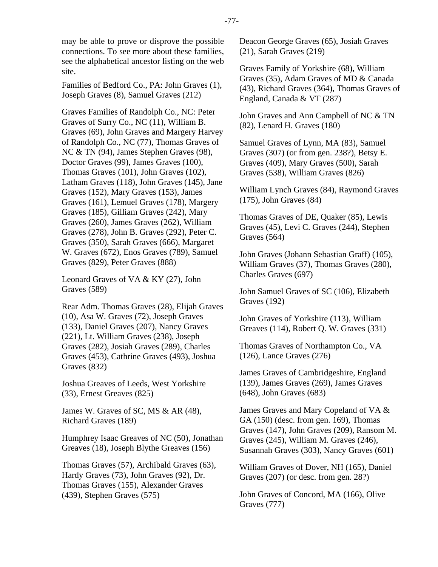may be able to prove or disprove the possible connections. To see more about these families, see the alphabetical ancestor listing on the web site.

Families of Bedford Co., PA: John Graves (1), Joseph Graves (8), Samuel Graves (212)

Graves Families of Randolph Co., NC: Peter Graves of Surry Co., NC (11), William B. Graves (69), John Graves and Margery Harvey of Randolph Co., NC (77), Thomas Graves of NC & TN (94), James Stephen Graves (98), Doctor Graves (99), James Graves (100), Thomas Graves (101), John Graves (102), Latham Graves (118), John Graves (145), Jane Graves (152), Mary Graves (153), James Graves (161), Lemuel Graves (178), Margery Graves (185), Gilliam Graves (242), Mary Graves (260), James Graves (262), William Graves (278), John B. Graves (292), Peter C. Graves (350), Sarah Graves (666), Margaret W. Graves (672), Enos Graves (789), Samuel Graves (829), Peter Graves (888)

Leonard Graves of VA & KY (27), John Graves (589)

Rear Adm. Thomas Graves (28), Elijah Graves (10), Asa W. Graves (72), Joseph Graves (133), Daniel Graves (207), Nancy Graves (221), Lt. William Graves (238), Joseph Graves (282), Josiah Graves (289), Charles Graves (453), Cathrine Graves (493), Joshua Graves (832)

Joshua Greaves of Leeds, West Yorkshire (33), Ernest Greaves (825)

James W. Graves of SC, MS & AR (48), Richard Graves (189)

Humphrey Isaac Greaves of NC (50), Jonathan Greaves (18), Joseph Blythe Greaves (156)

Thomas Graves (57), Archibald Graves (63), Hardy Graves (73), John Graves (92), Dr. Thomas Graves (155), Alexander Graves (439), Stephen Graves (575)

Deacon George Graves (65), Josiah Graves (21), Sarah Graves (219)

Graves Family of Yorkshire (68), William Graves (35), Adam Graves of MD & Canada (43), Richard Graves (364), Thomas Graves of England, Canada & VT (287)

John Graves and Ann Campbell of NC & TN (82), Lenard H. Graves (180)

Samuel Graves of Lynn, MA (83), Samuel Graves (307) (or from gen. 238?), Betsy E. Graves (409), Mary Graves (500), Sarah Graves (538), William Graves (826)

William Lynch Graves (84), Raymond Graves (175), John Graves (84)

Thomas Graves of DE, Quaker (85), Lewis Graves (45), Levi C. Graves (244), Stephen Graves (564)

John Graves (Johann Sebastian Graff) (105), William Graves (37), Thomas Graves (280), Charles Graves (697)

John Samuel Graves of SC (106), Elizabeth Graves (192)

John Graves of Yorkshire (113), William Greaves (114), Robert Q. W. Graves (331)

Thomas Graves of Northampton Co., VA (126), Lance Graves (276)

James Graves of Cambridgeshire, England (139), James Graves (269), James Graves (648), John Graves (683)

James Graves and Mary Copeland of VA & GA (150) (desc. from gen. 169), Thomas Graves (147), John Graves (209), Ransom M. Graves (245), William M. Graves (246), Susannah Graves (303), Nancy Graves (601)

William Graves of Dover, NH (165), Daniel Graves (207) (or desc. from gen. 28?)

John Graves of Concord, MA (166), Olive Graves (777)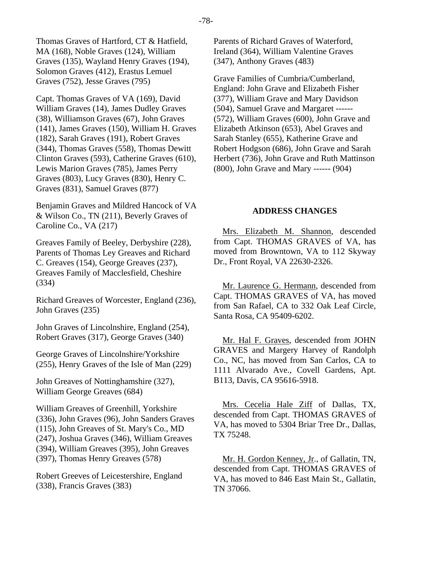Thomas Graves of Hartford, CT & Hatfield, MA (168), Noble Graves (124), William Graves (135), Wayland Henry Graves (194), Solomon Graves (412), Erastus Lemuel Graves (752), Jesse Graves (795)

Capt. Thomas Graves of VA (169), David William Graves (14), James Dudley Graves (38), Williamson Graves (67), John Graves (141), James Graves (150), William H. Graves (182), Sarah Graves (191), Robert Graves (344), Thomas Graves (558), Thomas Dewitt Clinton Graves (593), Catherine Graves (610), Lewis Marion Graves (785), James Perry Graves (803), Lucy Graves (830), Henry C. Graves (831), Samuel Graves (877)

Benjamin Graves and Mildred Hancock of VA & Wilson Co., TN (211), Beverly Graves of Caroline Co., VA (217)

Greaves Family of Beeley, Derbyshire (228), Parents of Thomas Ley Greaves and Richard C. Greaves (154), George Greaves (237), Greaves Family of Macclesfield, Cheshire (334)

Richard Greaves of Worcester, England (236), John Graves (235)

John Graves of Lincolnshire, England (254), Robert Graves (317), George Graves (340)

George Graves of Lincolnshire/Yorkshire (255), Henry Graves of the Isle of Man (229)

John Greaves of Nottinghamshire (327), William George Greaves (684)

William Greaves of Greenhill, Yorkshire (336), John Graves (96), John Sanders Graves (115), John Greaves of St. Mary's Co., MD (247), Joshua Graves (346), William Greaves (394), William Greaves (395), John Greaves (397), Thomas Henry Greaves (578)

Robert Greeves of Leicestershire, England (338), Francis Graves (383)

Parents of Richard Graves of Waterford, Ireland (364), William Valentine Graves (347), Anthony Graves (483)

Grave Families of Cumbria/Cumberland, England: John Grave and Elizabeth Fisher (377), William Grave and Mary Davidson (504), Samuel Grave and Margaret ------ (572), William Graves (600), John Grave and Elizabeth Atkinson (653), Abel Graves and Sarah Stanley (655), Katherine Grave and Robert Hodgson (686), John Grave and Sarah Herbert (736), John Grave and Ruth Mattinson (800), John Grave and Mary ------ (904)

# **ADDRESS CHANGES**

Mrs. Elizabeth M. Shannon, descended from Capt. THOMAS GRAVES of VA, has moved from Browntown, VA to 112 Skyway Dr., Front Royal, VA 22630-2326.

Mr. Laurence G. Hermann, descended from Capt. THOMAS GRAVES of VA, has moved from San Rafael, CA to 332 Oak Leaf Circle, Santa Rosa, CA 95409-6202.

Mr. Hal F. Graves, descended from JOHN GRAVES and Margery Harvey of Randolph Co., NC, has moved from San Carlos, CA to 1111 Alvarado Ave., Covell Gardens, Apt. B113, Davis, CA 95616-5918.

Mrs. Cecelia Hale Ziff of Dallas, TX, descended from Capt. THOMAS GRAVES of VA, has moved to 5304 Briar Tree Dr., Dallas, TX 75248.

Mr. H. Gordon Kenney, Jr., of Gallatin, TN, descended from Capt. THOMAS GRAVES of VA, has moved to 846 East Main St., Gallatin, TN 37066.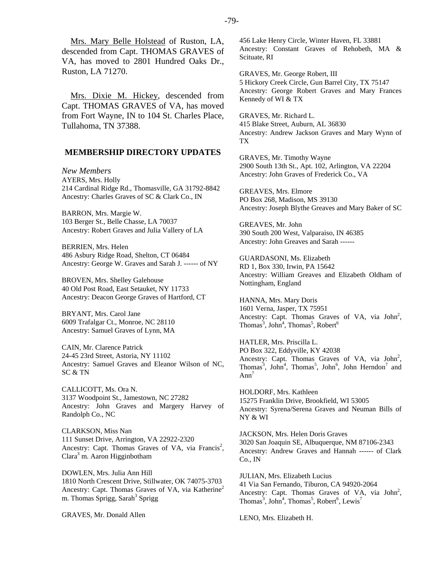Mrs. Mary Belle Holstead of Ruston, LA, descended from Capt. THOMAS GRAVES of VA, has moved to 2801 Hundred Oaks Dr., Ruston, LA 71270.

Mrs. Dixie M. Hickey, descended from Capt. THOMAS GRAVES of VA, has moved from Fort Wayne, IN to 104 St. Charles Place, Tullahoma, TN 37388.

## **MEMBERSHIP DIRECTORY UPDATES**

*New Members*  AYERS, Mrs. Holly 214 Cardinal Ridge Rd., Thomasville, GA 31792-8842 Ancestry: Charles Graves of SC & Clark Co., IN

BARRON, Mrs. Margie W. 103 Berger St., Belle Chasse, LA 70037 Ancestry: Robert Graves and Julia Vallery of LA

BERRIEN, Mrs. Helen 486 Asbury Ridge Road, Shelton, CT 06484 Ancestry: George W. Graves and Sarah J. ------ of NY

BROVEN, Mrs. Shelley Galehouse 40 Old Post Road, East Setauket, NY 11733 Ancestry: Deacon George Graves of Hartford, CT

BRYANT, Mrs. Carol Jane 6009 Trafalgar Ct., Monroe, NC 28110 Ancestry: Samuel Graves of Lynn, MA

CAIN, Mr. Clarence Patrick 24-45 23rd Street, Astoria, NY 11102 Ancestry: Samuel Graves and Eleanor Wilson of NC, SC & TN

CALLICOTT, Ms. Ora N. 3137 Woodpoint St., Jamestown, NC 27282 Ancestry: John Graves and Margery Harvey of Randolph Co., NC

CLARKSON, Miss Nan 111 Sunset Drive, Arrington, VA 22922-2320 Ancestry: Capt. Thomas Graves of VA, via Francis<sup>2</sup>, Clara<sup>3</sup> m. Aaron Higginbotham

DOWLEN, Mrs. Julia Ann Hill 1810 North Crescent Drive, Stillwater, OK 74075-3703 Ancestry: Capt. Thomas Graves of VA, via Katherine<sup>2</sup> m. Thomas Sprigg, Sarah<sup>3</sup> Sprigg

GRAVES, Mr. Donald Allen

456 Lake Henry Circle, Winter Haven, FL 33881 Ancestry: Constant Graves of Rehobeth, MA & Scituate, RI

GRAVES, Mr. George Robert, III 5 Hickory Creek Circle, Gun Barrel City, TX 75147 Ancestry: George Robert Graves and Mary Frances Kennedy of WI & TX

GRAVES, Mr. Richard L. 415 Blake Street, Auburn, AL 36830 Ancestry: Andrew Jackson Graves and Mary Wynn of TX

GRAVES, Mr. Timothy Wayne 2900 South 13th St., Apt. 102, Arlington, VA 22204 Ancestry: John Graves of Frederick Co., VA

GREAVES, Mrs. Elmore PO Box 268, Madison, MS 39130 Ancestry: Joseph Blythe Greaves and Mary Baker of SC

GREAVES, Mr. John 390 South 200 West, Valparaiso, IN 46385 Ancestry: John Greaves and Sarah ------

GUARDASONI, Ms. Elizabeth RD 1, Box 330, Irwin, PA 15642 Ancestry: William Greaves and Elizabeth Oldham of Nottingham, England

HANNA, Mrs. Mary Doris 1601 Verna, Jasper, TX 75951 Ancestry: Capt. Thomas Graves of VA, via John<sup>2</sup>, Thomas<sup>3</sup>, John<sup>4</sup>, Thomas<sup>5</sup>, Robert<sup>6</sup>

HATLER, Mrs. Priscilla L. PO Box 322, Eddyville, KY 42038 Ancestry: Capt. Thomas Graves of VA, via John<sup>2</sup>, Thomas<sup>3</sup>, John<sup>4</sup>, Thomas<sup>5</sup>, John<sup>6</sup>, John Herndon<sup>7</sup> and  $Ann<sup>7</sup>$ 

HOLDORF, Mrs. Kathleen 15275 Franklin Drive, Brookfield, WI 53005 Ancestry: Syrena/Serena Graves and Neuman Bills of NY & WI

JACKSON, Mrs. Helen Doris Graves 3020 San Joaquin SE, Albuquerque, NM 87106-2343 Ancestry: Andrew Graves and Hannah ------ of Clark Co., IN

JULIAN, Mrs. Elizabeth Lucius 41 Via San Fernando, Tiburon, CA 94920-2064 Ancestry: Capt. Thomas Graves of VA, via  $John<sup>2</sup>$ , Thomas<sup>3</sup>, John<sup>4</sup>, Thomas<sup>5</sup>, Robert<sup>6</sup>, Lewis<sup>7</sup>

LENO, Mrs. Elizabeth H.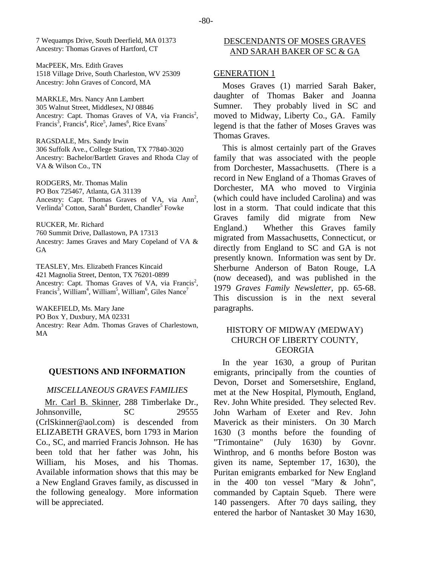MacPEEK, Mrs. Edith Graves 1518 Village Drive, South Charleston, WV 25309 Ancestry: John Graves of Concord, MA

MARKLE, Mrs. Nancy Ann Lambert 305 Walnut Street, Middlesex, NJ 08846 Ancestry: Capt. Thomas Graves of VA, via Francis<sup>2</sup>,  $Francis^3$ , Francis<sup>4</sup>, Rice<sup>5</sup>, James<sup>6</sup>, Rice Evans<sup>7</sup>

RAGSDALE, Mrs. Sandy Irwin 306 Suffolk Ave., College Station, TX 77840-3020 Ancestry: Bachelor/Bartlett Graves and Rhoda Clay of VA & Wilson Co., TN

RODGERS, Mr. Thomas Malin PO Box 725467, Atlanta, GA 31139 Ancestry: Capt. Thomas Graves of VA, via  $Ann<sup>2</sup>$ , Verlinda<sup>3</sup> Cotton, Sarah<sup>4</sup> Burdett, Chandler<sup>5</sup> Fowke

RUCKER, Mr. Richard 760 Summit Drive, Dallastown, PA 17313 Ancestry: James Graves and Mary Copeland of VA & **GA** 

TEASLEY, Mrs. Elizabeth Frances Kincaid 421 Magnolia Street, Denton, TX 76201-0899 Ancestry: Capt. Thomas Graves of VA, via Francis<sup>2</sup>, Francis<sup>3</sup>, William<sup>4</sup>, William<sup>5</sup>, William<sup>6</sup>, Giles Nance<sup>7</sup>

WAKEFIELD, Ms. Mary Jane PO Box Y, Duxbury, MA 02331 Ancestry: Rear Adm. Thomas Graves of Charlestown, MA

#### **QUESTIONS AND INFORMATION**

# *MISCELLANEOUS GRAVES FAMILIES*

Mr. Carl B. Skinner, 288 Timberlake Dr., Johnsonville, SC 29555 (CrlSkinner@aol.com) is descended from ELIZABETH GRAVES, born 1793 in Marion Co., SC, and married Francis Johnson. He has been told that her father was John, his William, his Moses, and his Thomas. Available information shows that this may be a New England Graves family, as discussed in the following genealogy. More information will be appreciated.

# DESCENDANTS OF MOSES GRAVES AND SARAH BAKER OF SC & GA

## GENERATION 1

Moses Graves (1) married Sarah Baker, daughter of Thomas Baker and Joanna Sumner. They probably lived in SC and moved to Midway, Liberty Co., GA. Family legend is that the father of Moses Graves was Thomas Graves.

This is almost certainly part of the Graves family that was associated with the people from Dorchester, Massachusetts. (There is a record in New England of a Thomas Graves of Dorchester, MA who moved to Virginia (which could have included Carolina) and was lost in a storm. That could indicate that this Graves family did migrate from New England.) Whether this Graves family migrated from Massachusetts, Connecticut, or directly from England to SC and GA is not presently known. Information was sent by Dr. Sherburne Anderson of Baton Rouge, LA (now deceased), and was published in the 1979 *Graves Family Newsletter*, pp. 65-68. This discussion is in the next several paragraphs.

# HISTORY OF MIDWAY (MEDWAY) CHURCH OF LIBERTY COUNTY, **GEORGIA**

In the year 1630, a group of Puritan emigrants, principally from the counties of Devon, Dorset and Somersetshire, England, met at the New Hospital, Plymouth, England, Rev. John White presided. They selected Rev. John Warham of Exeter and Rev. John Maverick as their ministers. On 30 March 1630 (3 months before the founding of "Trimontaine" (July 1630) by Govnr. Winthrop, and 6 months before Boston was given its name, September 17, 1630), the Puritan emigrants embarked for New England in the 400 ton vessel "Mary & John", commanded by Captain Squeb. There were 140 passengers. After 70 days sailing, they entered the harbor of Nantasket 30 May 1630,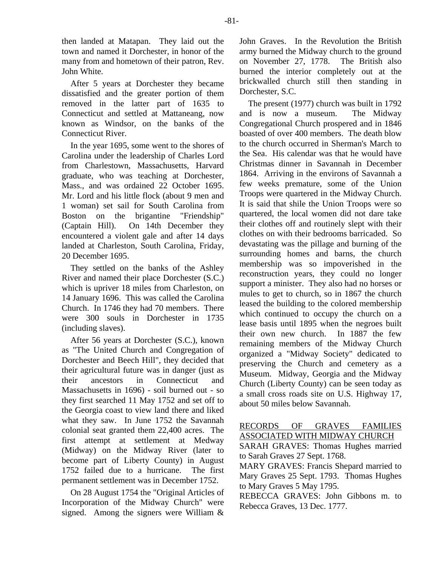then landed at Matapan. They laid out the town and named it Dorchester, in honor of the many from and hometown of their patron, Rev. John White.

After 5 years at Dorchester they became dissatisfied and the greater portion of them removed in the latter part of 1635 to Connecticut and settled at Mattaneang, now known as Windsor, on the banks of the Connecticut River.

In the year 1695, some went to the shores of Carolina under the leadership of Charles Lord from Charlestown, Massachusetts, Harvard graduate, who was teaching at Dorchester, Mass., and was ordained 22 October 1695. Mr. Lord and his little flock (about 9 men and 1 woman) set sail for South Carolina from Boston on the brigantine "Friendship" (Captain Hill). On 14th December they encountered a violent gale and after 14 days landed at Charleston, South Carolina, Friday, 20 December 1695.

They settled on the banks of the Ashley River and named their place Dorchester (S.C.) which is upriver 18 miles from Charleston, on 14 January 1696. This was called the Carolina Church. In 1746 they had 70 members. There were 300 souls in Dorchester in 1735 (including slaves).

After 56 years at Dorchester (S.C.), known as "The United Church and Congregation of Dorchester and Beech Hill", they decided that their agricultural future was in danger (just as their ancestors in Connecticut and Massachusetts in 1696) - soil burned out - so they first searched 11 May 1752 and set off to the Georgia coast to view land there and liked what they saw. In June 1752 the Savannah colonial seat granted them 22,400 acres. The first attempt at settlement at Medway (Midway) on the Midway River (later to become part of Liberty County) in August 1752 failed due to a hurricane. The first permanent settlement was in December 1752.

On 28 August 1754 the "Original Articles of Incorporation of the Midway Church" were signed. Among the signers were William &

John Graves. In the Revolution the British army burned the Midway church to the ground on November 27, 1778. The British also burned the interior completely out at the brickwalled church still then standing in Dorchester, S.C.

The present (1977) church was built in 1792 and is now a museum. The Midway Congregational Church prospered and in 1846 boasted of over 400 members. The death blow to the church occurred in Sherman's March to the Sea. His calendar was that he would have Christmas dinner in Savannah in December 1864. Arriving in the environs of Savannah a few weeks premature, some of the Union Troops were quartered in the Midway Church. It is said that shile the Union Troops were so quartered, the local women did not dare take their clothes off and routinely slept with their clothes on with their bedrooms barricaded. So devastating was the pillage and burning of the surrounding homes and barns, the church membership was so impoverished in the reconstruction years, they could no longer support a minister. They also had no horses or mules to get to church, so in 1867 the church leased the building to the colored membership which continued to occupy the church on a lease basis until 1895 when the negroes built their own new church. In 1887 the few remaining members of the Midway Church organized a "Midway Society" dedicated to preserving the Church and cemetery as a Museum. Midway, Georgia and the Midway Church (Liberty County) can be seen today as a small cross roads site on U.S. Highway 17, about 50 miles below Savannah.

# RECORDS OF GRAVES FAMILIES ASSOCIATED WITH MIDWAY CHURCH

SARAH GRAVES: Thomas Hughes married to Sarah Graves 27 Sept. 1768.

MARY GRAVES: Francis Shepard married to Mary Graves 25 Sept. 1793. Thomas Hughes to Mary Graves 5 May 1795.

REBECCA GRAVES: John Gibbons m. to Rebecca Graves, 13 Dec. 1777.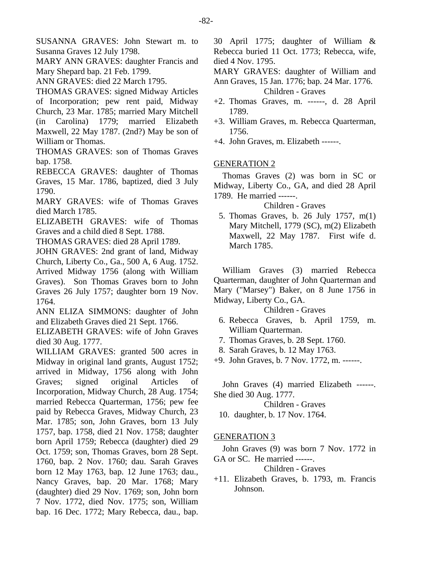SUSANNA GRAVES: John Stewart m. to Susanna Graves 12 July 1798.

MARY ANN GRAVES: daughter Francis and Mary Shepard bap. 21 Feb. 1799.

ANN GRAVES: died 22 March 1795.

THOMAS GRAVES: signed Midway Articles of Incorporation; pew rent paid, Midway Church, 23 Mar. 1785; married Mary Mitchell (in Carolina) 1779; married Elizabeth Maxwell, 22 May 1787. (2nd?) May be son of William or Thomas.

THOMAS GRAVES: son of Thomas Graves bap. 1758.

REBECCA GRAVES: daughter of Thomas Graves, 15 Mar. 1786, baptized, died 3 July 1790.

MARY GRAVES: wife of Thomas Graves died March 1785.

ELIZABETH GRAVES: wife of Thomas Graves and a child died 8 Sept. 1788.

THOMAS GRAVES: died 28 April 1789.

JOHN GRAVES: 2nd grant of land, Midway Church, Liberty Co., Ga., 500 A, 6 Aug. 1752. Arrived Midway 1756 (along with William Graves). Son Thomas Graves born to John Graves 26 July 1757; daughter born 19 Nov. 1764.

ANN ELIZA SIMMONS: daughter of John and Elizabeth Graves died 21 Sept. 1766.

ELIZABETH GRAVES: wife of John Graves died 30 Aug. 1777.

WILLIAM GRAVES: granted 500 acres in Midway in original land grants, August 1752; arrived in Midway, 1756 along with John Graves; signed original Articles of Incorporation, Midway Church, 28 Aug. 1754; married Rebecca Quarterman, 1756; pew fee paid by Rebecca Graves, Midway Church, 23 Mar. 1785; son, John Graves, born 13 July 1757, bap. 1758, died 21 Nov. 1758; daughter born April 1759; Rebecca (daughter) died 29 Oct. 1759; son, Thomas Graves, born 28 Sept. 1760, bap. 2 Nov. 1760; dau. Sarah Graves born 12 May 1763, bap. 12 June 1763; dau., Nancy Graves, bap. 20 Mar. 1768; Mary (daughter) died 29 Nov. 1769; son, John born 7 Nov. 1772, died Nov. 1775; son, William bap. 16 Dec. 1772; Mary Rebecca, dau., bap.

30 April 1775; daughter of William & Rebecca buried 11 Oct. 1773; Rebecca, wife, died 4 Nov. 1795.

MARY GRAVES: daughter of William and Ann Graves, 15 Jan. 1776; bap. 24 Mar. 1776. Children - Graves

- +2. Thomas Graves, m. ------, d. 28 April 1789.
- +3. William Graves, m. Rebecca Quarterman, 1756.
- +4. John Graves, m. Elizabeth ------.

# GENERATION 2

Thomas Graves (2) was born in SC or Midway, Liberty Co., GA, and died 28 April 1789. He married ------.

# Children - Graves

 5. Thomas Graves, b. 26 July 1757, m(1) Mary Mitchell, 1779 (SC), m(2) Elizabeth Maxwell, 22 May 1787. First wife d. March 1785.

William Graves (3) married Rebecca Quarterman, daughter of John Quarterman and Mary ("Marsey") Baker, on 8 June 1756 in Midway, Liberty Co., GA.

# Children - Graves

- 6. Rebecca Graves, b. April 1759, m. William Quarterman.
- 7. Thomas Graves, b. 28 Sept. 1760.
- 8. Sarah Graves, b. 12 May 1763.
- +9. John Graves, b. 7 Nov. 1772, m. ------.

John Graves (4) married Elizabeth ------. She died 30 Aug. 1777.

Children - Graves 10. daughter, b. 17 Nov. 1764.

# GENERATION 3

John Graves (9) was born 7 Nov. 1772 in GA or SC. He married ------.

Children - Graves

+11. Elizabeth Graves, b. 1793, m. Francis Johnson.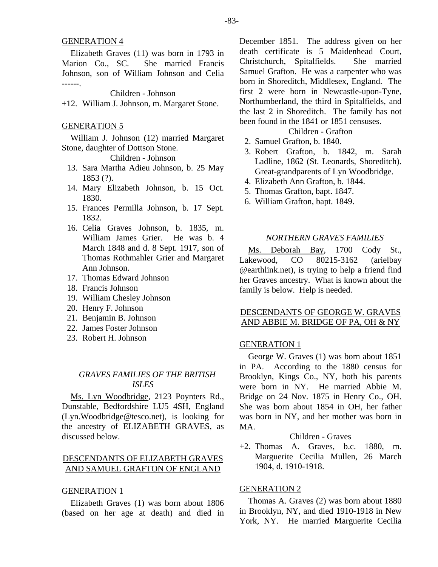Elizabeth Graves (11) was born in 1793 in Marion Co., SC. She married Francis Johnson, son of William Johnson and Celia ------.

## Children - Johnson

+12. William J. Johnson, m. Margaret Stone.

## GENERATION 5

William J. Johnson (12) married Margaret Stone, daughter of Dottson Stone.

# Children - Johnson

- 13. Sara Martha Adieu Johnson, b. 25 May 1853 (?).
- 14. Mary Elizabeth Johnson, b. 15 Oct. 1830.
- 15. Frances Permilla Johnson, b. 17 Sept. 1832.
- 16. Celia Graves Johnson, b. 1835, m. William James Grier. He was b. 4 March 1848 and d. 8 Sept. 1917, son of Thomas Rothmahler Grier and Margaret Ann Johnson.
- 17. Thomas Edward Johnson
- 18. Francis Johnson
- 19. William Chesley Johnson
- 20. Henry F. Johnson
- 21. Benjamin B. Johnson
- 22. James Foster Johnson
- 23. Robert H. Johnson

# *GRAVES FAMILIES OF THE BRITISH ISLES*

Ms. Lyn Woodbridge, 2123 Poynters Rd., Dunstable, Bedfordshire LU5 4SH, England (Lyn.Woodbridge@tesco.net), is looking for the ancestry of ELIZABETH GRAVES, as discussed below.

# DESCENDANTS OF ELIZABETH GRAVES AND SAMUEL GRAFTON OF ENGLAND

#### GENERATION 1

Elizabeth Graves (1) was born about 1806 (based on her age at death) and died in December 1851. The address given on her death certificate is 5 Maidenhead Court, Christchurch, Spitalfields. She married Samuel Grafton. He was a carpenter who was born in Shoreditch, Middlesex, England. The first 2 were born in Newcastle-upon-Tyne, Northumberland, the third in Spitalfields, and the last 2 in Shoreditch. The family has not been found in the 1841 or 1851 censuses.

## Children - Grafton

- 2. Samuel Grafton, b. 1840.
- 3. Robert Grafton, b. 1842, m. Sarah Ladline, 1862 (St. Leonards, Shoreditch). Great-grandparents of Lyn Woodbridge.
- 4. Elizabeth Ann Grafton, b. 1844.
- 5. Thomas Grafton, bapt. 1847.
- 6. William Grafton, bapt. 1849.

## *NORTHERN GRAVES FAMILIES*

Ms. Deborah Bay, 1700 Cody St., Lakewood, CO 80215-3162 (arielbay @earthlink.net), is trying to help a friend find her Graves ancestry. What is known about the family is below. Help is needed.

# DESCENDANTS OF GEORGE W. GRAVES AND ABBIE M. BRIDGE OF PA, OH & NY

## GENERATION 1

George W. Graves (1) was born about 1851 in PA. According to the 1880 census for Brooklyn, Kings Co., NY, both his parents were born in NY. He married Abbie M. Bridge on 24 Nov. 1875 in Henry Co., OH. She was born about 1854 in OH, her father was born in NY, and her mother was born in MA.

# Children - Graves

+2. Thomas A. Graves, b.c. 1880, m. Marguerite Cecilia Mullen, 26 March 1904, d. 1910-1918.

# GENERATION 2

Thomas A. Graves (2) was born about 1880 in Brooklyn, NY, and died 1910-1918 in New York, NY. He married Marguerite Cecilia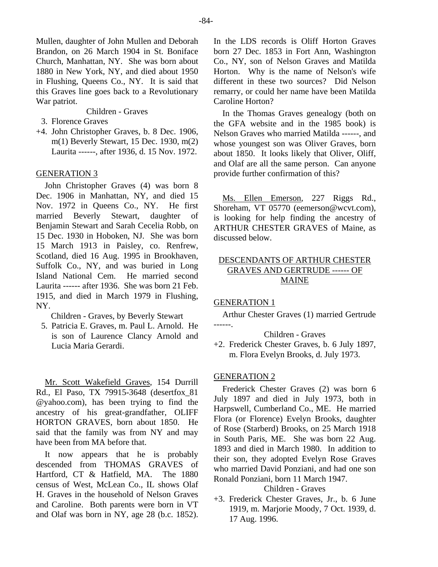Mullen, daughter of John Mullen and Deborah Brandon, on 26 March 1904 in St. Boniface Church, Manhattan, NY. She was born about 1880 in New York, NY, and died about 1950 in Flushing, Queens Co., NY. It is said that this Graves line goes back to a Revolutionary War patriot.

Children - Graves

3. Florence Graves

+4. John Christopher Graves, b. 8 Dec. 1906, m(1) Beverly Stewart, 15 Dec. 1930, m(2) Laurita ------, after 1936, d. 15 Nov. 1972.

### GENERATION 3

John Christopher Graves (4) was born 8 Dec. 1906 in Manhattan, NY, and died 15 Nov. 1972 in Queens Co., NY. He first married Beverly Stewart, daughter of Benjamin Stewart and Sarah Cecelia Robb, on 15 Dec. 1930 in Hoboken, NJ. She was born 15 March 1913 in Paisley, co. Renfrew, Scotland, died 16 Aug. 1995 in Brookhaven, Suffolk Co., NY, and was buried in Long Island National Cem. He married second Laurita ------ after 1936. She was born 21 Feb. 1915, and died in March 1979 in Flushing, NY.

Children - Graves, by Beverly Stewart

 5. Patricia E. Graves, m. Paul L. Arnold. He is son of Laurence Clancy Arnold and Lucia Maria Gerardi.

Mr. Scott Wakefield Graves, 154 Durrill Rd., El Paso, TX 79915-3648 (desertfox\_81 @yahoo.com), has been trying to find the ancestry of his great-grandfather, OLIFF HORTON GRAVES, born about 1850. He said that the family was from NY and may have been from MA before that.

It now appears that he is probably descended from THOMAS GRAVES of Hartford, CT & Hatfield, MA. The 1880 census of West, McLean Co., IL shows Olaf H. Graves in the household of Nelson Graves and Caroline. Both parents were born in VT and Olaf was born in NY, age 28 (b.c. 1852).

In the LDS records is Oliff Horton Graves born 27 Dec. 1853 in Fort Ann, Washington Co., NY, son of Nelson Graves and Matilda Horton. Why is the name of Nelson's wife different in these two sources? Did Nelson remarry, or could her name have been Matilda Caroline Horton?

In the Thomas Graves genealogy (both on the GFA website and in the 1985 book) is Nelson Graves who married Matilda ------, and whose youngest son was Oliver Graves, born about 1850. It looks likely that Oliver, Oliff, and Olaf are all the same person. Can anyone provide further confirmation of this?

Ms. Ellen Emerson, 227 Riggs Rd., Shoreham, VT 05770 (eemerson@wcvt.com), is looking for help finding the ancestry of ARTHUR CHESTER GRAVES of Maine, as discussed below.

# DESCENDANTS OF ARTHUR CHESTER GRAVES AND GERTRUDE ------ OF MAINE

#### GENERATION 1

Arthur Chester Graves (1) married Gertrude ------.

## Children - Graves

+2. Frederick Chester Graves, b. 6 July 1897, m. Flora Evelyn Brooks, d. July 1973.

#### GENERATION 2

Frederick Chester Graves (2) was born 6 July 1897 and died in July 1973, both in Harpswell, Cumberland Co., ME. He married Flora (or Florence) Evelyn Brooks, daughter of Rose (Starberd) Brooks, on 25 March 1918 in South Paris, ME. She was born 22 Aug. 1893 and died in March 1980. In addition to their son, they adopted Evelyn Rose Graves who married David Ponziani, and had one son Ronald Ponziani, born 11 March 1947.

# Children - Graves

+3. Frederick Chester Graves, Jr., b. 6 June 1919, m. Marjorie Moody, 7 Oct. 1939, d. 17 Aug. 1996.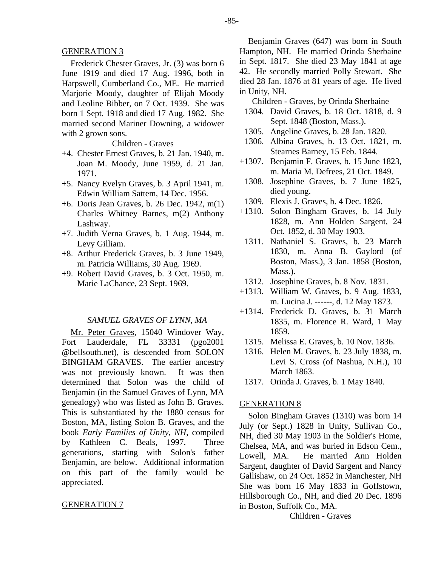Frederick Chester Graves, Jr. (3) was born 6 June 1919 and died 17 Aug. 1996, both in Harpswell, Cumberland Co., ME. He married Marjorie Moody, daughter of Elijah Moody and Leoline Bibber, on 7 Oct. 1939. She was born 1 Sept. 1918 and died 17 Aug. 1982. She married second Mariner Downing, a widower with 2 grown sons.

#### Children - Graves

- +4. Chester Ernest Graves, b. 21 Jan. 1940, m. Joan M. Moody, June 1959, d. 21 Jan. 1971.
- +5. Nancy Evelyn Graves, b. 3 April 1941, m. Edwin William Sattem, 14 Dec. 1956.
- +6. Doris Jean Graves, b. 26 Dec. 1942, m(1) Charles Whitney Barnes, m(2) Anthony Lashway.
- +7. Judith Verna Graves, b. 1 Aug. 1944, m. Levy Gilliam.
- +8. Arthur Frederick Graves, b. 3 June 1949, m. Patricia Williams, 30 Aug. 1969.
- +9. Robert David Graves, b. 3 Oct. 1950, m. Marie LaChance, 23 Sept. 1969.

### *SAMUEL GRAVES OF LYNN, MA*

Mr. Peter Graves, 15040 Windover Way, Fort Lauderdale, FL 33331 (pgo2001 @bellsouth.net), is descended from SOLON BINGHAM GRAVES. The earlier ancestry was not previously known. It was then determined that Solon was the child of Benjamin (in the Samuel Graves of Lynn, MA genealogy) who was listed as John B. Graves. This is substantiated by the 1880 census for Boston, MA, listing Solon B. Graves, and the book *Early Families of Unity, NH*, compiled by Kathleen C. Beals, 1997. Three generations, starting with Solon's father Benjamin, are below. Additional information on this part of the family would be appreciated.

#### GENERATION 7

Benjamin Graves (647) was born in South Hampton, NH. He married Orinda Sherbaine in Sept. 1817. She died 23 May 1841 at age 42. He secondly married Polly Stewart. She died 28 Jan. 1876 at 81 years of age. He lived in Unity, NH.

Children - Graves, by Orinda Sherbaine

- 1304. David Graves, b. 18 Oct. 1818, d. 9 Sept. 1848 (Boston, Mass.).
- 1305. Angeline Graves, b. 28 Jan. 1820.
- 1306. Albina Graves, b. 13 Oct. 1821, m. Stearnes Barney, 15 Feb. 1844.
- +1307. Benjamin F. Graves, b. 15 June 1823, m. Maria M. Defrees, 21 Oct. 1849.
- 1308. Josephine Graves, b. 7 June 1825, died young.
- 1309. Elexis J. Graves, b. 4 Dec. 1826.
- +1310. Solon Bingham Graves, b. 14 July 1828, m. Ann Holden Sargent, 24 Oct. 1852, d. 30 May 1903.
- 1311. Nathaniel S. Graves, b. 23 March 1830, m. Anna B. Gaylord (of Boston, Mass.), 3 Jan. 1858 (Boston, Mass.).
- 1312. Josephine Graves, b. 8 Nov. 1831.
- +1313. William W. Graves, b. 9 Aug. 1833, m. Lucina J. ------, d. 12 May 1873.
- +1314. Frederick D. Graves, b. 31 March 1835, m. Florence R. Ward, 1 May 1859.
	- 1315. Melissa E. Graves, b. 10 Nov. 1836.
	- 1316. Helen M. Graves, b. 23 July 1838, m. Levi S. Cross (of Nashua, N.H.), 10 March 1863.
	- 1317. Orinda J. Graves, b. 1 May 1840.

#### GENERATION 8

Solon Bingham Graves (1310) was born 14 July (or Sept.) 1828 in Unity, Sullivan Co., NH, died 30 May 1903 in the Soldier's Home, Chelsea, MA, and was buried in Edson Cem., Lowell, MA. He married Ann Holden Sargent, daughter of David Sargent and Nancy Gallishaw, on 24 Oct. 1852 in Manchester, NH She was born 16 May 1833 in Goffstown, Hillsborough Co., NH, and died 20 Dec. 1896 in Boston, Suffolk Co., MA.

Children - Graves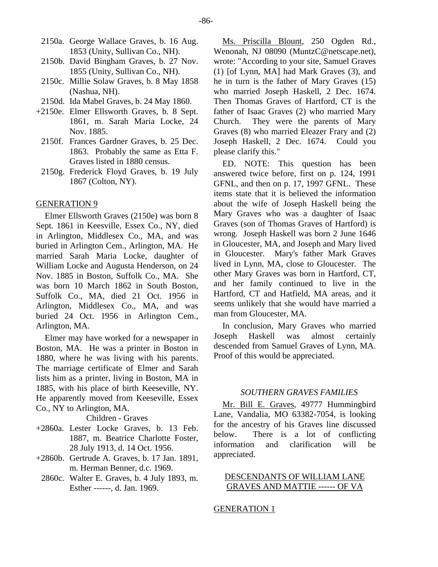- 2150a. George Wallace Graves, b. 16 Aug. 1853 (Unity, Sullivan Co., NH).
- 2150b. David Bingham Graves, b. 27 Nov. 1855 (Unity, Sullivan Co., NH).
- 2150c. Millie Solaw Graves, b. 8 May 1858 (Nashua, NH).
- 2150d. Ida Mabel Graves, b. 24 May 1860.
- +2150e. Elmer Ellsworth Graves, b. 8 Sept. 1861, m. Sarah Maria Locke, 24 Nov. 1885.
	- 2150f. Frances Gardner Graves, b. 25 Dec. 1863. Probably the same as Etta F. Graves listed in 1880 census.
	- 2150g. Frederick Floyd Graves, b. 19 July 1867 (Colton, NY).

## GENERATION 9

Elmer Ellsworth Graves (2150e) was born 8 Sept. 1861 in Keesville, Essex Co., NY, died in Arlington, Middlesex Co., MA, and was buried in Arlington Cem., Arlington, MA. He married Sarah Maria Locke, daughter of William Locke and Augusta Henderson, on 24 Nov. 1885 in Boston, Suffolk Co., MA. She was born 10 March 1862 in South Boston, Suffolk Co., MA, died 21 Oct. 1956 in Arlington, Middlesex Co., MA, and was buried 24 Oct. 1956 in Arlington Cem., Arlington, MA.

Elmer may have worked for a newspaper in Boston, MA. He was a printer in Boston in 1880, where he was living with his parents. The marriage certificate of Elmer and Sarah lists him as a printer, living in Boston, MA in 1885, with his place of birth Keeseville, NY. He apparently moved from Keeseville, Essex Co., NY to Arlington, MA.

# Children - Graves

- +2860a. Lester Locke Graves, b. 13 Feb. 1887, m. Beatrice Charlotte Foster, 28 July 1913, d. 14 Oct. 1956.
- +2860b. Gertrude A. Graves, b. 17 Jan. 1891, m. Herman Benner, d.c. 1969.
	- 2860c. Walter E. Graves, b. 4 July 1893, m. Esther ------, d. Jan. 1969.

Ms. Priscilla Blount, 250 Ogden Rd., Wenonah, NJ 08090 (MuntzC@netscape.net), wrote: "According to your site, Samuel Graves (1) [of Lynn, MA] had Mark Graves (3), and he in turn is the father of Mary Graves (15) who married Joseph Haskell, 2 Dec. 1674. Then Thomas Graves of Hartford, CT is the father of Isaac Graves (2) who married Mary Church. They were the parents of Mary Graves (8) who married Eleazer Frary and (2) Joseph Haskell, 2 Dec. 1674. Could you please clarify this."

ED. NOTE: This question has been answered twice before, first on p. 124, 1991 GFNL, and then on p. 17, 1997 GFNL. These items state that it is believed the information about the wife of Joseph Haskell being the Mary Graves who was a daughter of Isaac Graves (son of Thomas Graves of Hartford) is wrong. Joseph Haskell was born 2 June 1646 in Gloucester, MA, and Joseph and Mary lived in Gloucester. Mary's father Mark Graves lived in Lynn, MA, close to Gloucester. The other Mary Graves was born in Hartford, CT, and her family continued to live in the Hartford, CT and Hatfield, MA areas, and it seems unlikely that she would have married a man from Gloucester, MA.

In conclusion, Mary Graves who married Joseph Haskell was almost certainly descended from Samuel Graves of Lynn, MA. Proof of this would be appreciated.

## *SOUTHERN GRAVES FAMILIES*

Mr. Bill E. Graves, 49777 Hummingbird Lane, Vandalia, MO 63382-7054, is looking for the ancestry of his Graves line discussed below. There is a lot of conflicting information and clarification will be appreciated.

# DESCENDANTS OF WILLIAM LANE GRAVES AND MATTIE ------ OF VA

#### GENERATION 1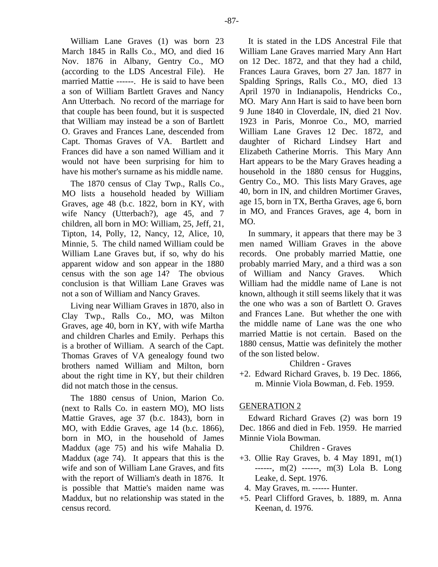William Lane Graves (1) was born 23 March 1845 in Ralls Co., MO, and died 16 Nov. 1876 in Albany, Gentry Co., MO (according to the LDS Ancestral File). He married Mattie ------. He is said to have been a son of William Bartlett Graves and Nancy Ann Utterbach. No record of the marriage for that couple has been found, but it is suspected that William may instead be a son of Bartlett O. Graves and Frances Lane, descended from Capt. Thomas Graves of VA. Bartlett and Frances did have a son named William and it would not have been surprising for him to have his mother's surname as his middle name.

The 1870 census of Clay Twp., Ralls Co., MO lists a household headed by William Graves, age 48 (b.c. 1822, born in KY, with wife Nancy (Utterbach?), age 45, and 7 children, all born in MO: William, 25, Jeff, 21, Tipton, 14, Polly, 12, Nancy, 12, Alice, 10, Minnie, 5. The child named William could be William Lane Graves but, if so, why do his apparent widow and son appear in the 1880 census with the son age 14? The obvious conclusion is that William Lane Graves was not a son of William and Nancy Graves.

Living near William Graves in 1870, also in Clay Twp., Ralls Co., MO, was Milton Graves, age 40, born in KY, with wife Martha and children Charles and Emily. Perhaps this is a brother of William. A search of the Capt. Thomas Graves of VA genealogy found two brothers named William and Milton, born about the right time in KY, but their children did not match those in the census.

The 1880 census of Union, Marion Co. (next to Ralls Co. in eastern MO), MO lists Mattie Graves, age 37 (b.c. 1843), born in MO, with Eddie Graves, age 14 (b.c. 1866), born in MO, in the household of James Maddux (age 75) and his wife Mahalia D. Maddux (age 74). It appears that this is the wife and son of William Lane Graves, and fits with the report of William's death in 1876. It is possible that Mattie's maiden name was Maddux, but no relationship was stated in the census record.

It is stated in the LDS Ancestral File that William Lane Graves married Mary Ann Hart on 12 Dec. 1872, and that they had a child, Frances Laura Graves, born 27 Jan. 1877 in Spalding Springs, Ralls Co., MO, died 13 April 1970 in Indianapolis, Hendricks Co., MO. Mary Ann Hart is said to have been born 9 June 1840 in Cloverdale, IN, died 21 Nov. 1923 in Paris, Monroe Co., MO, married William Lane Graves 12 Dec. 1872, and daughter of Richard Lindsey Hart and Elizabeth Catherine Morris. This Mary Ann Hart appears to be the Mary Graves heading a household in the 1880 census for Huggins, Gentry Co., MO. This lists Mary Graves, age 40, born in IN, and children Mortimer Graves, age 15, born in TX, Bertha Graves, age 6, born in MO, and Frances Graves, age 4, born in MO.

In summary, it appears that there may be 3 men named William Graves in the above records. One probably married Mattie, one probably married Mary, and a third was a son of William and Nancy Graves. Which William had the middle name of Lane is not known, although it still seems likely that it was the one who was a son of Bartlett O. Graves and Frances Lane. But whether the one with the middle name of Lane was the one who married Mattie is not certain. Based on the 1880 census, Mattie was definitely the mother of the son listed below.

Children - Graves

+2. Edward Richard Graves, b. 19 Dec. 1866, m. Minnie Viola Bowman, d. Feb. 1959.

# GENERATION 2

Edward Richard Graves (2) was born 19 Dec. 1866 and died in Feb. 1959. He married Minnie Viola Bowman.

Children - Graves

- +3. Ollie Ray Graves, b. 4 May 1891, m(1) ------, m(2) ------, m(3) Lola B. Long Leake, d. Sept. 1976.
- 4. May Graves, m. ------ Hunter.
- +5. Pearl Clifford Graves, b. 1889, m. Anna Keenan, d. 1976.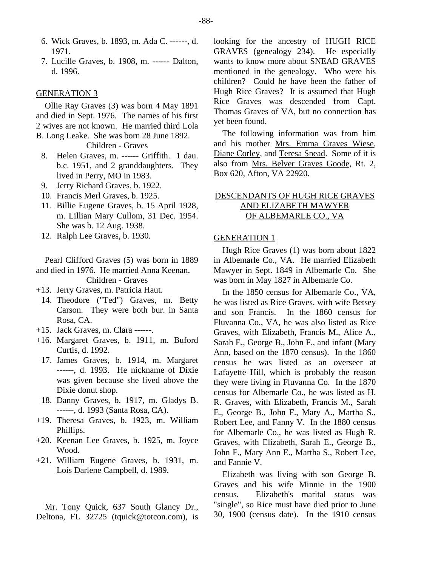- 6. Wick Graves, b. 1893, m. Ada C. ------, d. 1971.
- 7. Lucille Graves, b. 1908, m. ------ Dalton, d. 1996.

### GENERATION 3

Ollie Ray Graves (3) was born 4 May 1891 and died in Sept. 1976. The names of his first 2 wives are not known. He married third Lola B. Long Leake. She was born 28 June 1892.

Children - Graves

- 8. Helen Graves, m. ------ Griffith. 1 dau. b.c. 1951, and 2 granddaughters. They lived in Perry, MO in 1983.
- 9. Jerry Richard Graves, b. 1922.
- 10. Francis Merl Graves, b. 1925.
- 11. Billie Eugene Graves, b. 15 April 1928, m. Lillian Mary Cullom, 31 Dec. 1954. She was b. 12 Aug. 1938.
- 12. Ralph Lee Graves, b. 1930.

Pearl Clifford Graves (5) was born in 1889 and died in 1976. He married Anna Keenan. Children - Graves

- +13. Jerry Graves, m. Patricia Haut.
	- 14. Theodore ("Ted") Graves, m. Betty Carson. They were both bur. in Santa Rosa, CA.
- +15. Jack Graves, m. Clara ------.
- +16. Margaret Graves, b. 1911, m. Buford Curtis, d. 1992.
	- 17. James Graves, b. 1914, m. Margaret ------, d. 1993. He nickname of Dixie was given because she lived above the Dixie donut shop.
- 18. Danny Graves, b. 1917, m. Gladys B. ------, d. 1993 (Santa Rosa, CA).
- +19. Theresa Graves, b. 1923, m. William Phillips.
- +20. Keenan Lee Graves, b. 1925, m. Joyce Wood.
- +21. William Eugene Graves, b. 1931, m. Lois Darlene Campbell, d. 1989.

Mr. Tony Quick, 637 South Glancy Dr., Deltona, FL 32725 (tquick@totcon.com), is

looking for the ancestry of HUGH RICE GRAVES (genealogy 234). He especially wants to know more about SNEAD GRAVES mentioned in the genealogy. Who were his children? Could he have been the father of Hugh Rice Graves? It is assumed that Hugh Rice Graves was descended from Capt. Thomas Graves of VA, but no connection has yet been found.

The following information was from him and his mother Mrs. Emma Graves Wiese, Diane Corley, and Teresa Snead. Some of it is also from Mrs. Belver Graves Goode, Rt. 2, Box 620, Afton, VA 22920.

# DESCENDANTS OF HUGH RICE GRAVES AND ELIZABETH MAWYER OF ALBEMARLE CO., VA

## GENERATION 1

Hugh Rice Graves (1) was born about 1822 in Albemarle Co., VA. He married Elizabeth Mawyer in Sept. 1849 in Albemarle Co. She was born in May 1827 in Albemarle Co.

In the 1850 census for Albemarle Co., VA, he was listed as Rice Graves, with wife Betsey and son Francis. In the 1860 census for Fluvanna Co., VA, he was also listed as Rice Graves, with Elizabeth, Francis M., Alice A., Sarah E., George B., John F., and infant (Mary Ann, based on the 1870 census). In the 1860 census he was listed as an overseer at Lafayette Hill, which is probably the reason they were living in Fluvanna Co. In the 1870 census for Albemarle Co., he was listed as H. R. Graves, with Elizabeth, Francis M., Sarah E., George B., John F., Mary A., Martha S., Robert Lee, and Fanny V. In the 1880 census for Albemarle Co., he was listed as Hugh R. Graves, with Elizabeth, Sarah E., George B., John F., Mary Ann E., Martha S., Robert Lee, and Fannie V.

Elizabeth was living with son George B. Graves and his wife Minnie in the 1900 census. Elizabeth's marital status was "single", so Rice must have died prior to June 30, 1900 (census date). In the 1910 census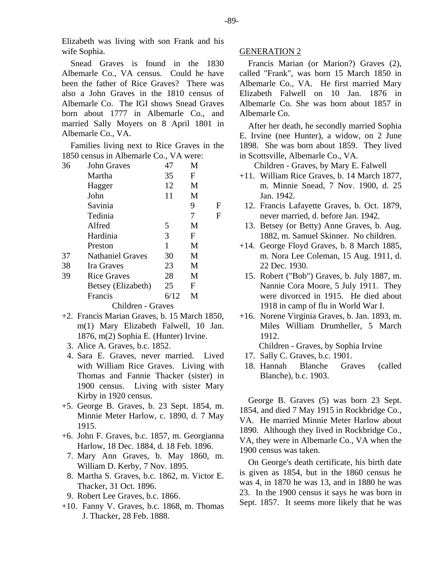Elizabeth was living with son Frank and his wife Sophia.

Snead Graves is found in the 1830 Albemarle Co., VA census. Could he have been the father of Rice Graves? There was also a John Graves in the 1810 census of Albemarle Co. The IGI shows Snead Graves born about 1777 in Albemarle Co., and married Sally Moyers on 8 April 1801 in Albemarle Co., VA.

Families living next to Rice Graves in the 1850 census in Albemarle Co., VA were:

| 36 | John Graves             | 47   | M |   |
|----|-------------------------|------|---|---|
|    | Martha                  | 35   | F |   |
|    | Hagger                  | 12   | M |   |
|    | John                    | 11   | M |   |
|    | Savinia                 |      | 9 | F |
|    | Tedinia                 |      | 7 | F |
|    | Alfred                  | 5    | M |   |
|    | Hardinia                | 3    | F |   |
|    | Preston                 | 1    | M |   |
| 37 | <b>Nathaniel Graves</b> | 30   | M |   |
| 38 | Ira Graves              | 23   | M |   |
| 39 | <b>Rice Graves</b>      | 28   | M |   |
|    | Betsey (Elizabeth)      | 25   | F |   |
|    | Francis                 | 6/12 | M |   |
|    | Children - Graves       |      |   |   |

- +2. Francis Marian Graves, b. 15 March 1850, m(1) Mary Elizabeth Falwell, 10 Jan. 1876, m(2) Sophia E. (Hunter) Irvine.
	- 3. Alice A. Graves, b.c. 1852.
	- 4. Sara E. Graves, never married. Lived with William Rice Graves. Living with Thomas and Fannie Thacker (sister) in 1900 census. Living with sister Mary Kirby in 1920 census.
- +5. George B. Graves, b. 23 Sept. 1854, m. Minnie Meter Harlow, c. 1890, d. 7 May 1915.
- +6. John F. Graves, b.c. 1857, m. Georgianna Harlow, 18 Dec. 1884, d. 18 Feb. 1896.
	- 7. Mary Ann Graves, b. May 1860, m. William D. Kerby, 7 Nov. 1895.
	- 8. Martha S. Graves, b.c. 1862, m. Victor E. Thacker, 31 Oct. 1896.
- 9. Robert Lee Graves, b.c. 1866.
- +10. Fanny V. Graves, b.c. 1868, m. Thomas J. Thacker, 28 Feb. 1888.

## GENERATION 2

Francis Marian (or Marion?) Graves (2), called "Frank", was born 15 March 1850 in Albemarle Co., VA. He first married Mary Elizabeth Falwell on 10 Jan. 1876 in Albemarle Co. She was born about 1857 in Albemarle Co.

After her death, he secondly married Sophia E. Irvine (nee Hunter), a widow, on 2 June 1898. She was born about 1859. They lived in Scottsville, Albemarle Co., VA.

Children - Graves, by Mary E. Falwell

- +11. William Rice Graves, b. 14 March 1877, m. Minnie Snead, 7 Nov. 1900, d. 25 Jan. 1942.
- 12. Francis Lafayette Graves, b. Oct. 1879, never married, d. before Jan. 1942.
- 13. Betsey (or Betty) Anne Graves, b. Aug. 1882, m. Samuel Skinner. No children.
- +14. George Floyd Graves, b. 8 March 1885, m. Nora Lee Coleman, 15 Aug. 1911, d. 22 Dec. 1930.
	- 15. Robert ("Bob") Graves, b. July 1887, m. Nannie Cora Moore, 5 July 1911. They were divorced in 1915. He died about 1918 in camp of flu in World War I.
- +16. Norene Virginia Graves, b. Jan. 1893, m. Miles William Drumheller, 5 March 1912.

Children - Graves, by Sophia Irvine

- 17. Sally C. Graves, b.c. 1901.
- 18. Hannah Blanche Graves (called Blanche), b.c. 1903.

George B. Graves (5) was born 23 Sept. 1854, and died 7 May 1915 in Rockbridge Co., VA. He married Minnie Meter Harlow about 1890. Although they lived in Rockbridge Co., VA, they were in Albemarle Co., VA when the 1900 census was taken.

On George's death certificate, his birth date is given as 1854, but in the 1860 census he was 4, in 1870 he was 13, and in 1880 he was 23. In the 1900 census it says he was born in Sept. 1857. It seems more likely that he was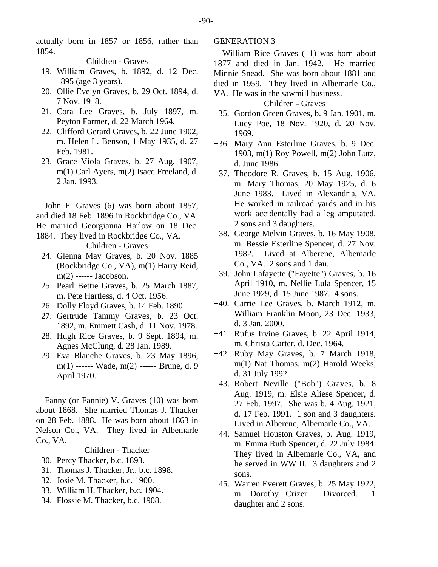actually born in 1857 or 1856, rather than 1854.

Children - Graves

- 19. William Graves, b. 1892, d. 12 Dec. 1895 (age 3 years).
- 20. Ollie Evelyn Graves, b. 29 Oct. 1894, d. 7 Nov. 1918.
- 21. Cora Lee Graves, b. July 1897, m. Peyton Farmer, d. 22 March 1964.
- 22. Clifford Gerard Graves, b. 22 June 1902, m. Helen L. Benson, 1 May 1935, d. 27 Feb. 1981.
- 23. Grace Viola Graves, b. 27 Aug. 1907, m(1) Carl Ayers, m(2) Isacc Freeland, d. 2 Jan. 1993.

John F. Graves (6) was born about 1857, and died 18 Feb. 1896 in Rockbridge Co., VA. He married Georgianna Harlow on 18 Dec. 1884. They lived in Rockbridge Co., VA.

Children - Graves

- 24. Glenna May Graves, b. 20 Nov. 1885 (Rockbridge Co., VA), m(1) Harry Reid, m(2) ------ Jacobson.
- 25. Pearl Bettie Graves, b. 25 March 1887, m. Pete Hartless, d. 4 Oct. 1956.
- 26. Dolly Floyd Graves, b. 14 Feb. 1890.
- 27. Gertrude Tammy Graves, b. 23 Oct. 1892, m. Emmett Cash, d. 11 Nov. 1978.
- 28. Hugh Rice Graves, b. 9 Sept. 1894, m. Agnes McClung, d. 28 Jan. 1989.
- 29. Eva Blanche Graves, b. 23 May 1896, m(1) ------ Wade, m(2) ------ Brune, d. 9 April 1970.

Fanny (or Fannie) V. Graves (10) was born about 1868. She married Thomas J. Thacker on 28 Feb. 1888. He was born about 1863 in Nelson Co., VA. They lived in Albemarle Co., VA.

Children - Thacker

- 30. Percy Thacker, b.c. 1893.
- 31. Thomas J. Thacker, Jr., b.c. 1898.
- 32. Josie M. Thacker, b.c. 1900.
- 33. William H. Thacker, b.c. 1904.
- 34. Flossie M. Thacker, b.c. 1908.

# GENERATION 3

William Rice Graves (11) was born about 1877 and died in Jan. 1942. He married Minnie Snead. She was born about 1881 and died in 1959. They lived in Albemarle Co., VA. He was in the sawmill business.

## Children - Graves

- +35. Gordon Green Graves, b. 9 Jan. 1901, m. Lucy Poe, 18 Nov. 1920, d. 20 Nov. 1969.
- +36. Mary Ann Esterline Graves, b. 9 Dec. 1903, m(1) Roy Powell, m(2) John Lutz, d. June 1986.
	- 37. Theodore R. Graves, b. 15 Aug. 1906, m. Mary Thomas, 20 May 1925, d. 6 June 1983. Lived in Alexandria, VA. He worked in railroad yards and in his work accidentally had a leg amputated. 2 sons and 3 daughters.
	- 38. George Melvin Graves, b. 16 May 1908, m. Bessie Esterline Spencer, d. 27 Nov. 1982. Lived at Alberene, Albemarle Co., VA. 2 sons and 1 dau.
- 39. John Lafayette ("Fayette") Graves, b. 16 April 1910, m. Nellie Lula Spencer, 15 June 1929, d. 15 June 1987. 4 sons.
- +40. Carrie Lee Graves, b. March 1912, m. William Franklin Moon, 23 Dec. 1933, d. 3 Jan. 2000.
- +41. Rufus Irvine Graves, b. 22 April 1914, m. Christa Carter, d. Dec. 1964.
- +42. Ruby May Graves, b. 7 March 1918, m(1) Nat Thomas, m(2) Harold Weeks, d. 31 July 1992.
	- 43. Robert Neville ("Bob") Graves, b. 8 Aug. 1919, m. Elsie Aliese Spencer, d. 27 Feb. 1997. She was b. 4 Aug. 1921, d. 17 Feb. 1991. 1 son and 3 daughters. Lived in Alberene, Albemarle Co., VA.
	- 44. Samuel Houston Graves, b. Aug. 1919, m. Emma Ruth Spencer, d. 22 July 1984. They lived in Albemarle Co., VA, and he served in WW II. 3 daughters and 2 sons.
	- 45. Warren Everett Graves, b. 25 May 1922, m. Dorothy Crizer. Divorced. 1 daughter and 2 sons.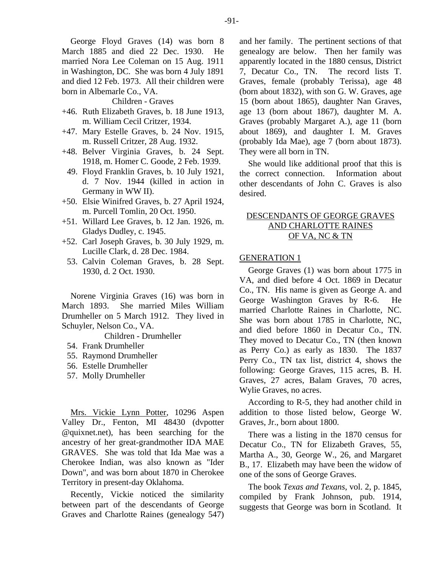George Floyd Graves (14) was born 8 March 1885 and died 22 Dec. 1930. He married Nora Lee Coleman on 15 Aug. 1911 in Washington, DC. She was born 4 July 1891 and died 12 Feb. 1973. All their children were born in Albemarle Co., VA.

Children - Graves

- +46. Ruth Elizabeth Graves, b. 18 June 1913, m. William Cecil Critzer, 1934.
- +47. Mary Estelle Graves, b. 24 Nov. 1915, m. Russell Critzer, 28 Aug. 1932.
- +48. Belver Virginia Graves, b. 24 Sept. 1918, m. Homer C. Goode, 2 Feb. 1939.
- 49. Floyd Franklin Graves, b. 10 July 1921, d. 7 Nov. 1944 (killed in action in Germany in WW II).
- +50. Elsie Winifred Graves, b. 27 April 1924, m. Purcell Tomlin, 20 Oct. 1950.
- +51. Willard Lee Graves, b. 12 Jan. 1926, m. Gladys Dudley, c. 1945.
- +52. Carl Joseph Graves, b. 30 July 1929, m. Lucille Clark, d. 28 Dec. 1984.
	- 53. Calvin Coleman Graves, b. 28 Sept. 1930, d. 2 Oct. 1930.

Norene Virginia Graves (16) was born in March 1893. She married Miles William Drumheller on 5 March 1912. They lived in Schuyler, Nelson Co., VA.

Children - Drumheller

- 54. Frank Drumheller
- 55. Raymond Drumheller
- 56. Estelle Drumheller
- 57. Molly Drumheller

Mrs. Vickie Lynn Potter, 10296 Aspen Valley Dr., Fenton, MI 48430 (dvpotter @quixnet.net), has been searching for the ancestry of her great-grandmother IDA MAE GRAVES. She was told that Ida Mae was a Cherokee Indian, was also known as "Ider Down", and was born about 1870 in Cherokee Territory in present-day Oklahoma.

Recently, Vickie noticed the similarity between part of the descendants of George Graves and Charlotte Raines (genealogy 547) and her family. The pertinent sections of that genealogy are below. Then her family was apparently located in the 1880 census, District 7, Decatur Co., TN. The record lists T. Graves, female (probably Terissa), age 48 (born about 1832), with son G. W. Graves, age 15 (born about 1865), daughter Nan Graves, age 13 (born about 1867), daughter M. A. Graves (probably Margaret A.), age 11 (born about 1869), and daughter I. M. Graves (probably Ida Mae), age 7 (born about 1873). They were all born in TN.

She would like additional proof that this is the correct connection. Information about other descendants of John C. Graves is also desired.

# DESCENDANTS OF GEORGE GRAVES AND CHARLOTTE RAINES OF VA, NC & TN

# GENERATION 1

George Graves (1) was born about 1775 in VA, and died before 4 Oct. 1869 in Decatur Co., TN. His name is given as George A. and George Washington Graves by R-6. He married Charlotte Raines in Charlotte, NC. She was born about 1785 in Charlotte, NC, and died before 1860 in Decatur Co., TN. They moved to Decatur Co., TN (then known as Perry Co.) as early as 1830. The 1837 Perry Co., TN tax list, district 4, shows the following: George Graves, 115 acres, B. H. Graves, 27 acres, Balam Graves, 70 acres, Wylie Graves, no acres.

According to R-5, they had another child in addition to those listed below, George W. Graves, Jr., born about 1800.

There was a listing in the 1870 census for Decatur Co., TN for Elizabeth Graves, 55, Martha A., 30, George W., 26, and Margaret B., 17. Elizabeth may have been the widow of one of the sons of George Graves.

The book *Texas and Texans*, vol. 2, p. 1845, compiled by Frank Johnson, pub. 1914, suggests that George was born in Scotland. It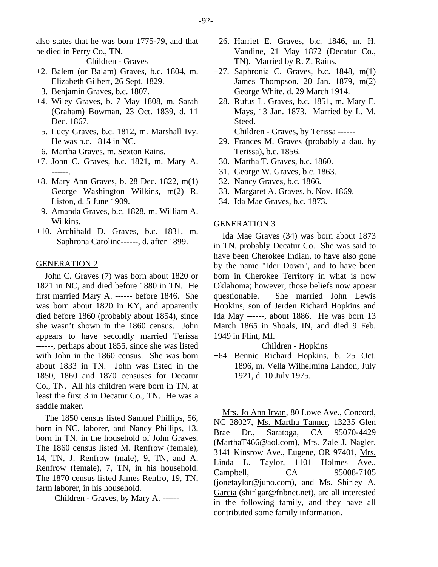also states that he was born 1775-79, and that he died in Perry Co., TN.

Children - Graves

- +2. Balem (or Balam) Graves, b.c. 1804, m. Elizabeth Gilbert, 26 Sept. 1829.
	- 3. Benjamin Graves, b.c. 1807.
- +4. Wiley Graves, b. 7 May 1808, m. Sarah (Graham) Bowman, 23 Oct. 1839, d. 11 Dec. 1867.
- 5. Lucy Graves, b.c. 1812, m. Marshall Ivy. He was b.c. 1814 in NC.
- 6. Martha Graves, m. Sexton Rains.
- +7. John C. Graves, b.c. 1821, m. Mary A. ------.
- +8. Mary Ann Graves, b. 28 Dec. 1822, m(1) George Washington Wilkins, m(2) R. Liston, d. 5 June 1909.
- 9. Amanda Graves, b.c. 1828, m. William A. Wilkins.
- +10. Archibald D. Graves, b.c. 1831, m. Saphrona Caroline------, d. after 1899.

# GENERATION 2

John C. Graves (7) was born about 1820 or 1821 in NC, and died before 1880 in TN. He first married Mary A. ------ before 1846. She was born about 1820 in KY, and apparently died before 1860 (probably about 1854), since she wasn't shown in the 1860 census. John appears to have secondly married Terissa ------, perhaps about 1855, since she was listed with John in the 1860 census. She was born about 1833 in TN. John was listed in the 1850, 1860 and 1870 censuses for Decatur Co., TN. All his children were born in TN, at least the first 3 in Decatur Co., TN. He was a saddle maker.

The 1850 census listed Samuel Phillips, 56, born in NC, laborer, and Nancy Phillips, 13, born in TN, in the household of John Graves. The 1860 census listed M. Renfrow (female), 14, TN, J. Renfrow (male), 9, TN, and A. Renfrow (female), 7, TN, in his household. The 1870 census listed James Renfro, 19, TN, farm laborer, in his household.

Children - Graves, by Mary A. ------

- 26. Harriet E. Graves, b.c. 1846, m. H. Vandine, 21 May 1872 (Decatur Co., TN). Married by R. Z. Rains.
- $+27.$  Saphronia C. Graves, b.c. 1848, m(1) James Thompson, 20 Jan. 1879, m(2) George White, d. 29 March 1914.
- 28. Rufus L. Graves, b.c. 1851, m. Mary E. Mays, 13 Jan. 1873. Married by L. M. Steed. Children - Graves, by Terissa ------
- 29. Frances M. Graves (probably a dau. by Terissa), b.c. 1856.
- 30. Martha T. Graves, b.c. 1860.
- 31. George W. Graves, b.c. 1863.
- 32. Nancy Graves, b.c. 1866.
- 33. Margaret A. Graves, b. Nov. 1869.
- 34. Ida Mae Graves, b.c. 1873.

## GENERATION 3

Ida Mae Graves (34) was born about 1873 in TN, probably Decatur Co. She was said to have been Cherokee Indian, to have also gone by the name "Ider Down", and to have been born in Cherokee Territory in what is now Oklahoma; however, those beliefs now appear questionable. She married John Lewis Hopkins, son of Jerden Richard Hopkins and Ida May ------, about 1886. He was born 13 March 1865 in Shoals, IN, and died 9 Feb. 1949 in Flint, MI.

#### Children - Hopkins

+64. Bennie Richard Hopkins, b. 25 Oct. 1896, m. Vella Wilhelmina Landon, July 1921, d. 10 July 1975.

Mrs. Jo Ann Irvan, 80 Lowe Ave., Concord, NC 28027, Ms. Martha Tanner, 13235 Glen Brae Dr., Saratoga, CA 95070-4429 (MarthaT466@aol.com), Mrs. Zale J. Nagler, 3141 Kinsrow Ave., Eugene, OR 97401, Mrs. Linda L. Taylor, 1101 Holmes Ave., Campbell, CA 95008-7105 (jonetaylor@juno.com), and Ms. Shirley A. Garcia (shirlgar@fnbnet.net), are all interested in the following family, and they have all contributed some family information.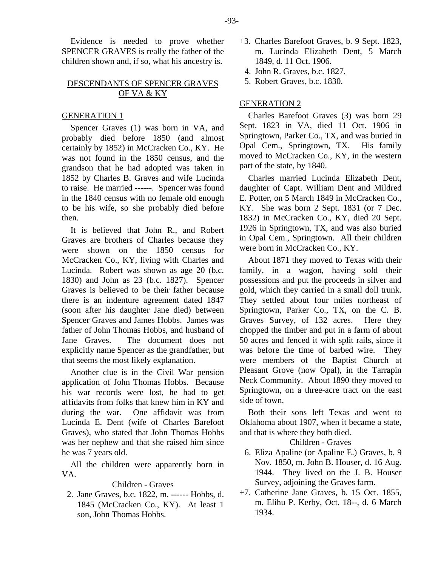Evidence is needed to prove whether SPENCER GRAVES is really the father of the children shown and, if so, what his ancestry is.

# DESCENDANTS OF SPENCER GRAVES OF VA & KY

## GENERATION 1

Spencer Graves (1) was born in VA, and probably died before 1850 (and almost certainly by 1852) in McCracken Co., KY. He was not found in the 1850 census, and the grandson that he had adopted was taken in 1852 by Charles B. Graves and wife Lucinda to raise. He married ------. Spencer was found in the 1840 census with no female old enough to be his wife, so she probably died before then.

It is believed that John R., and Robert Graves are brothers of Charles because they were shown on the 1850 census for McCracken Co., KY, living with Charles and Lucinda. Robert was shown as age 20 (b.c. 1830) and John as 23 (b.c. 1827). Spencer Graves is believed to be their father because there is an indenture agreement dated 1847 (soon after his daughter Jane died) between Spencer Graves and James Hobbs. James was father of John Thomas Hobbs, and husband of Jane Graves. The document does not explicitly name Spencer as the grandfather, but that seems the most likely explanation.

Another clue is in the Civil War pension application of John Thomas Hobbs. Because his war records were lost, he had to get affidavits from folks that knew him in KY and during the war. One affidavit was from Lucinda E. Dent (wife of Charles Barefoot Graves), who stated that John Thomas Hobbs was her nephew and that she raised him since he was 7 years old.

All the children were apparently born in VA.

## Children - Graves

 2. Jane Graves, b.c. 1822, m. ------ Hobbs, d. 1845 (McCracken Co., KY). At least 1 son, John Thomas Hobbs.

- +3. Charles Barefoot Graves, b. 9 Sept. 1823, m. Lucinda Elizabeth Dent, 5 March 1849, d. 11 Oct. 1906.
	- 4. John R. Graves, b.c. 1827.
	- 5. Robert Graves, b.c. 1830.

## GENERATION 2

Charles Barefoot Graves (3) was born 29 Sept. 1823 in VA, died 11 Oct. 1906 in Springtown, Parker Co., TX, and was buried in Opal Cem., Springtown, TX. His family moved to McCracken Co., KY, in the western part of the state, by 1840.

Charles married Lucinda Elizabeth Dent, daughter of Capt. William Dent and Mildred E. Potter, on 5 March 1849 in McCracken Co., KY. She was born 2 Sept. 1831 (or 7 Dec. 1832) in McCracken Co., KY, died 20 Sept. 1926 in Springtown, TX, and was also buried in Opal Cem., Springtown. All their children were born in McCracken Co., KY.

About 1871 they moved to Texas with their family, in a wagon, having sold their possessions and put the proceeds in silver and gold, which they carried in a small doll trunk. They settled about four miles northeast of Springtown, Parker Co., TX, on the C. B. Graves Survey, of 132 acres. Here they chopped the timber and put in a farm of about 50 acres and fenced it with split rails, since it was before the time of barbed wire. They were members of the Baptist Church at Pleasant Grove (now Opal), in the Tarrapin Neck Community. About 1890 they moved to Springtown, on a three-acre tract on the east side of town.

Both their sons left Texas and went to Oklahoma about 1907, when it became a state, and that is where they both died.

Children - Graves

- 6. Eliza Apaline (or Apaline E.) Graves, b. 9 Nov. 1850, m. John B. Houser, d. 16 Aug. 1944. They lived on the J. B. Houser Survey, adjoining the Graves farm.
- +7. Catherine Jane Graves, b. 15 Oct. 1855, m. Elihu P. Kerby, Oct. 18--, d. 6 March 1934.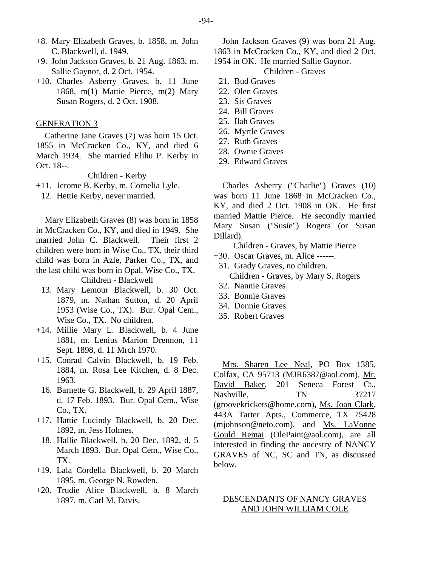- +8. Mary Elizabeth Graves, b. 1858, m. John C. Blackwell, d. 1949.
- +9. John Jackson Graves, b. 21 Aug. 1863, m. Sallie Gaynor, d. 2 Oct. 1954.
- +10. Charles Asberry Graves, b. 11 June 1868, m(1) Mattie Pierce, m(2) Mary Susan Rogers, d. 2 Oct. 1908.

#### GENERATION 3

Catherine Jane Graves (7) was born 15 Oct. 1855 in McCracken Co., KY, and died 6 March 1934. She married Elihu P. Kerby in Oct. 18--.

Children - Kerby

- +11. Jerome B. Kerby, m. Cornelia Lyle.
	- 12. Hettie Kerby, never married.

Mary Elizabeth Graves (8) was born in 1858 in McCracken Co., KY, and died in 1949. She married John C. Blackwell. Their first 2 children were born in Wise Co., TX, their third child was born in Azle, Parker Co., TX, and the last child was born in Opal, Wise Co., TX.

Children - Blackwell

- 13. Mary Lemour Blackwell, b. 30 Oct. 1879, m. Nathan Sutton, d. 20 April 1953 (Wise Co., TX). Bur. Opal Cem., Wise Co., TX. No children.
- +14. Millie Mary L. Blackwell, b. 4 June 1881, m. Lenius Marion Drennon, 11 Sept. 1898, d. 11 Mrch 1970.
- +15. Conrad Calvin Blackwell, b. 19 Feb. 1884, m. Rosa Lee Kitchen, d. 8 Dec. 1963.
	- 16. Barnette G. Blackwell, b. 29 April 1887, d. 17 Feb. 1893. Bur. Opal Cem., Wise Co., TX.
- +17. Hattie Lucindy Blackwell, b. 20 Dec. 1892, m. Jess Holmes.
	- 18. Hallie Blackwell, b. 20 Dec. 1892, d. 5 March 1893. Bur. Opal Cem., Wise Co., TX.
- +19. Lala Cordella Blackwell, b. 20 March 1895, m. George N. Rowden.
- +20. Trudie Alice Blackwell, b. 8 March 1897, m. Carl M. Davis.

John Jackson Graves (9) was born 21 Aug. 1863 in McCracken Co., KY, and died 2 Oct.

- 1954 in OK. He married Sallie Gaynor. Children - Graves
- 21. Bud Graves
- 22. Olen Graves
- 23. Sis Graves
- 24. Bill Graves
- 25. Ilah Graves
- 26. Myrtle Graves
- 27. Ruth Graves
- 28. Ownie Graves
- 29. Edward Graves

Charles Asberry ("Charlie") Graves (10) was born 11 June 1868 in McCracken Co., KY, and died 2 Oct. 1908 in OK. He first married Mattie Pierce. He secondly married Mary Susan ("Susie") Rogers (or Susan Dillard).

Children - Graves, by Mattie Pierce

- +30. Oscar Graves, m. Alice ------.
	- 31. Grady Graves, no children. Children - Graves, by Mary S. Rogers
	- 32. Nannie Graves
	- 33. Bonnie Graves
- 34. Donnie Graves
- 35. Robert Graves

Mrs. Sharen Lee Neal, PO Box 1385, Colfax, CA 95713 (MJR6387@aol.com), Mr. David Baker, 201 Seneca Forest Ct., Nashville, TN 37217 (groovekrickets@home.com), Ms. Joan Clark, 443A Tarter Apts., Commerce, TX 75428 (mjohnson@neto.com), and Ms. LaVonne Gould Remai (OlePaint@aol.com), are all interested in finding the ancestry of NANCY GRAVES of NC, SC and TN, as discussed below.

# DESCENDANTS OF NANCY GRAVES AND JOHN WILLIAM COLE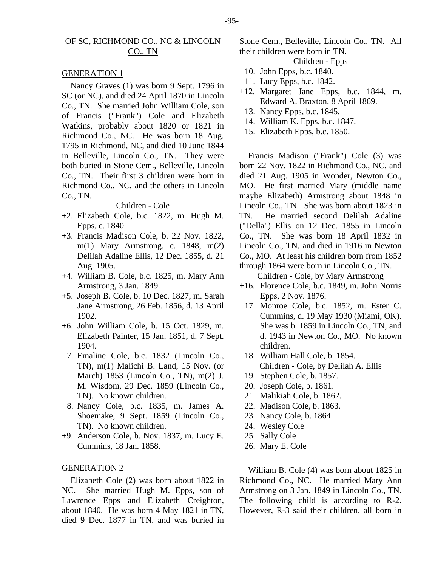# OF SC, RICHMOND CO., NC & LINCOLN CO., TN

#### GENERATION 1

Nancy Graves (1) was born 9 Sept. 1796 in SC (or NC), and died 24 April 1870 in Lincoln Co., TN. She married John William Cole, son of Francis ("Frank") Cole and Elizabeth Watkins, probably about 1820 or 1821 in Richmond Co., NC. He was born 18 Aug. 1795 in Richmond, NC, and died 10 June 1844 in Belleville, Lincoln Co., TN. They were both buried in Stone Cem., Belleville, Lincoln Co., TN. Their first 3 children were born in Richmond Co., NC, and the others in Lincoln Co., TN.

## Children - Cole

- +2. Elizabeth Cole, b.c. 1822, m. Hugh M. Epps, c. 1840.
- +3. Francis Madison Cole, b. 22 Nov. 1822, m(1) Mary Armstrong, c. 1848, m(2) Delilah Adaline Ellis, 12 Dec. 1855, d. 21 Aug. 1905.
- +4. William B. Cole, b.c. 1825, m. Mary Ann Armstrong, 3 Jan. 1849.
- +5. Joseph B. Cole, b. 10 Dec. 1827, m. Sarah Jane Armstrong, 26 Feb. 1856, d. 13 April 1902.
- +6. John William Cole, b. 15 Oct. 1829, m. Elizabeth Painter, 15 Jan. 1851, d. 7 Sept. 1904.
	- 7. Emaline Cole, b.c. 1832 (Lincoln Co., TN), m(1) Malichi B. Land, 15 Nov. (or March) 1853 (Lincoln Co., TN), m(2) J. M. Wisdom, 29 Dec. 1859 (Lincoln Co., TN). No known children.
	- 8. Nancy Cole, b.c. 1835, m. James A. Shoemake, 9 Sept. 1859 (Lincoln Co., TN). No known children.
- +9. Anderson Cole, b. Nov. 1837, m. Lucy E. Cummins, 18 Jan. 1858.

# GENERATION 2

Elizabeth Cole (2) was born about 1822 in NC. She married Hugh M. Epps, son of Lawrence Epps and Elizabeth Creighton, about 1840. He was born 4 May 1821 in TN, died 9 Dec. 1877 in TN, and was buried in

Stone Cem., Belleville, Lincoln Co., TN. All their children were born in TN.

Children - Epps

- 10. John Epps, b.c. 1840.
- 11. Lucy Epps, b.c. 1842.
- +12. Margaret Jane Epps, b.c. 1844, m. Edward A. Braxton, 8 April 1869.
	- 13. Nancy Epps, b.c. 1845.
	- 14. William K. Epps, b.c. 1847.
- 15. Elizabeth Epps, b.c. 1850.

Francis Madison ("Frank") Cole (3) was born 22 Nov. 1822 in Richmond Co., NC, and died 21 Aug. 1905 in Wonder, Newton Co., MO. He first married Mary (middle name maybe Elizabeth) Armstrong about 1848 in Lincoln Co., TN. She was born about 1823 in TN. He married second Delilah Adaline ("Della") Ellis on 12 Dec. 1855 in Lincoln Co., TN. She was born 18 April 1832 in Lincoln Co., TN, and died in 1916 in Newton Co., MO. At least his children born from 1852 through 1864 were born in Lincoln Co., TN.

Children - Cole, by Mary Armstrong

- +16. Florence Cole, b.c. 1849, m. John Norris Epps, 2 Nov. 1876.
- 17. Monroe Cole, b.c. 1852, m. Ester C. Cummins, d. 19 May 1930 (Miami, OK). She was b. 1859 in Lincoln Co., TN, and d. 1943 in Newton Co., MO. No known children.
- 18. William Hall Cole, b. 1854. Children - Cole, by Delilah A. Ellis
- 19. Stephen Cole, b. 1857.
- 20. Joseph Cole, b. 1861.
- 21. Malikiah Cole, b. 1862.
- 22. Madison Cole, b. 1863.
- 23. Nancy Cole, b. 1864.
- 24. Wesley Cole
- 25. Sally Cole
- 26. Mary E. Cole

William B. Cole (4) was born about 1825 in Richmond Co., NC. He married Mary Ann Armstrong on 3 Jan. 1849 in Lincoln Co., TN. The following child is according to R-2. However, R-3 said their children, all born in